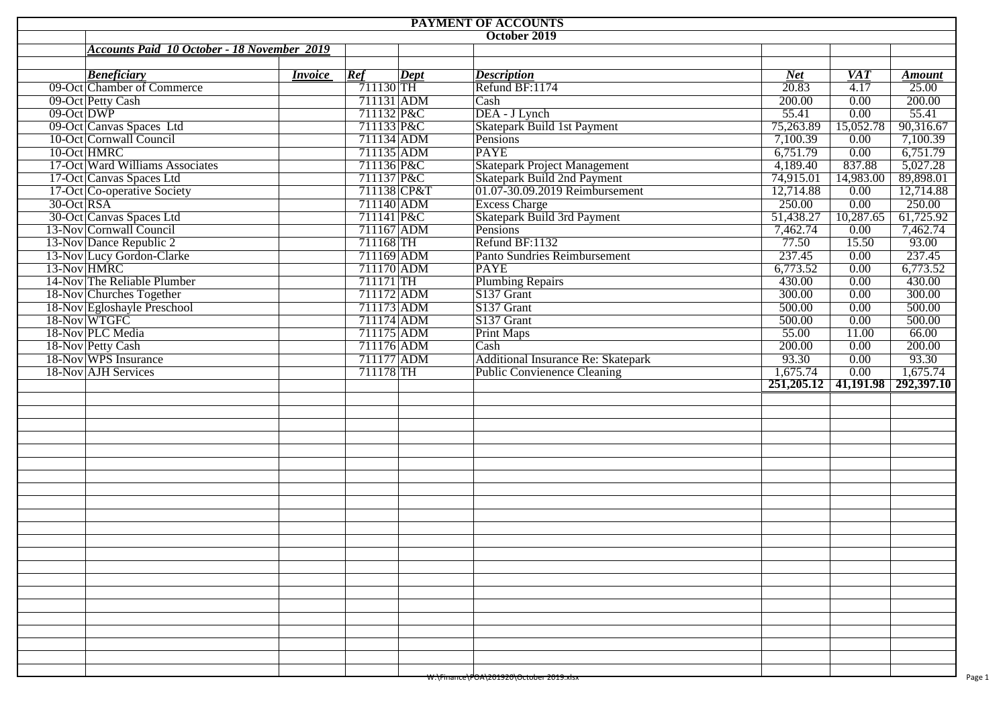|               |                                                    |                |             |          | PAYMENT OF ACCOUNTS                                           |                                  |                                 |                        |
|---------------|----------------------------------------------------|----------------|-------------|----------|---------------------------------------------------------------|----------------------------------|---------------------------------|------------------------|
|               |                                                    |                |             |          | October 2019                                                  |                                  |                                 |                        |
|               | <b>Accounts Paid 10 October - 18 November 2019</b> |                |             |          |                                                               |                                  |                                 |                        |
|               |                                                    | <i>Invoice</i> | Ref         |          |                                                               |                                  |                                 |                        |
|               | <b>Beneficiary</b><br>09-Oct Chamber of Commerce   |                | $711130$ TH | $\sqrt{$ | <b>Description</b><br>Refund BF:1174                          | <b>Net</b><br>$\overline{20.83}$ | <b>VAT</b><br>$\overline{4.17}$ | <b>Amount</b><br>25.00 |
|               | 09-Oct Petty Cash                                  |                | 711131 ADM  |          | Cash                                                          | 200.00                           | 0.00                            | 200.00                 |
| $09$ -Oct DWP |                                                    |                | 711132 P&C  |          | DEA - J Lynch                                                 | 55.41                            | 0.00                            | 55.41                  |
|               | 09-Oct Canvas Spaces Ltd                           |                | 711133 P&C  |          | Skatepark Build 1st Payment                                   | 75,263.89                        | 15,052.78                       | 90,316.67              |
|               | 10-Oct Cornwall Council                            |                | 711134 ADM  |          | Pensions                                                      | 7,100.39                         | 0.00                            | 7,100.39               |
|               | 10-Oct HMRC                                        |                | 711135 ADM  |          | <b>PAYE</b>                                                   | 6,751.79                         | 0.00                            | 6,751.79               |
|               | 17-Oct Ward Williams Associates                    |                | 711136 P&C  |          | <b>Skatepark Project Management</b>                           | 4,189.40                         | 837.88                          | 5,027.28               |
|               | 17-Oct Canvas Spaces Ltd                           |                | 711137 P&C  |          |                                                               | 74,915.01                        | 14,983.00                       | 89,898.01              |
|               | 17-Oct Co-operative Society                        |                | 711138 CP&T |          | Skatepark Build 2nd Payment<br>01.07-30.09.2019 Reimbursement | 12,714.88                        | 0.00                            | 12,714.88              |
| 30-Oct RSA    |                                                    |                | 711140 ADM  |          | <b>Excess Charge</b>                                          | 250.00                           | 0.00                            | 250.00                 |
|               | 30-Oct Canvas Spaces Ltd                           |                | 711141 P&C  |          | Skatepark Build 3rd Payment                                   | 51,438.27                        | 10,287.65                       | 61,725.92              |
|               | 13-Nov Cornwall Council                            |                | 711167 ADM  |          | Pensions                                                      | 7,462.74                         | 0.00                            | 7,462.74               |
|               | 13-Nov Dance Republic 2                            |                | 711168 TH   |          | Refund BF:1132                                                | 77.50                            | 15.50                           | 93.00                  |
|               | 13-Nov Lucy Gordon-Clarke                          |                | 711169 ADM  |          | Panto Sundries Reimbursement                                  | 237.45                           | 0.00                            | 237.45                 |
|               |                                                    |                | 711170 ADM  |          | <b>PAYE</b>                                                   | 6,773.52                         | 0.00                            | 6,773.52               |
|               | 14-Nov The Reliable Plumber                        |                | 711171 TH   |          | <b>Plumbing Repairs</b>                                       | 430.00                           | 0.00                            | 430.00                 |
|               | 18-Nov Churches Together                           |                | 711172 ADM  |          | S137 Grant                                                    | 300.00                           | 0.00                            | 300.00                 |
|               | 18-Nov Egloshayle Preschool                        |                | 711173 ADM  |          | S137 Grant                                                    | 500.00                           | 0.00                            | 500.00                 |
|               | 18-Nov WTGFC                                       |                | 711174 ADM  |          | S137 Grant                                                    | 500.00                           | 0.00                            | 500.00                 |
|               | 18-Nov PLC Media                                   |                | 711175 ADM  |          | <b>Print Maps</b>                                             | 55.00                            | 11.00                           | 66.00                  |
|               | 18-Nov Petty Cash                                  |                | 711176 ADM  |          | Cash                                                          | 200.00                           | 0.00                            | 200.00                 |
|               | 18-Nov WPS Insurance                               |                | 711177 ADM  |          | <b>Additional Insurance Re: Skatepark</b>                     | 93.30                            | 0.00                            | 93.30                  |
|               | 18-Nov AJH Services                                |                | 711178 TH   |          | <b>Public Convienence Cleaning</b>                            | 1,675.74                         | 0.00                            | 1,675.74               |
|               |                                                    |                |             |          |                                                               | 251,205.12                       |                                 | 41,191.98 292,397.10   |
|               |                                                    |                |             |          |                                                               |                                  |                                 |                        |
|               |                                                    |                |             |          |                                                               |                                  |                                 |                        |
|               |                                                    |                |             |          |                                                               |                                  |                                 |                        |
|               |                                                    |                |             |          |                                                               |                                  |                                 |                        |
|               |                                                    |                |             |          |                                                               |                                  |                                 |                        |
|               |                                                    |                |             |          |                                                               |                                  |                                 |                        |
|               |                                                    |                |             |          |                                                               |                                  |                                 |                        |
|               |                                                    |                |             |          |                                                               |                                  |                                 |                        |
|               |                                                    |                |             |          |                                                               |                                  |                                 |                        |
|               |                                                    |                |             |          |                                                               |                                  |                                 |                        |
|               |                                                    |                |             |          |                                                               |                                  |                                 |                        |
|               |                                                    |                |             |          |                                                               |                                  |                                 |                        |
|               |                                                    |                |             |          |                                                               |                                  |                                 |                        |
|               |                                                    |                |             |          |                                                               |                                  |                                 |                        |
|               |                                                    |                |             |          |                                                               |                                  |                                 |                        |
|               |                                                    |                |             |          |                                                               |                                  |                                 |                        |
|               |                                                    |                |             |          |                                                               |                                  |                                 |                        |
|               |                                                    |                |             |          |                                                               |                                  |                                 |                        |
|               |                                                    |                |             |          |                                                               |                                  |                                 |                        |
|               |                                                    |                |             |          |                                                               |                                  |                                 |                        |
|               |                                                    |                |             |          |                                                               |                                  |                                 |                        |
|               |                                                    |                |             |          |                                                               |                                  |                                 |                        |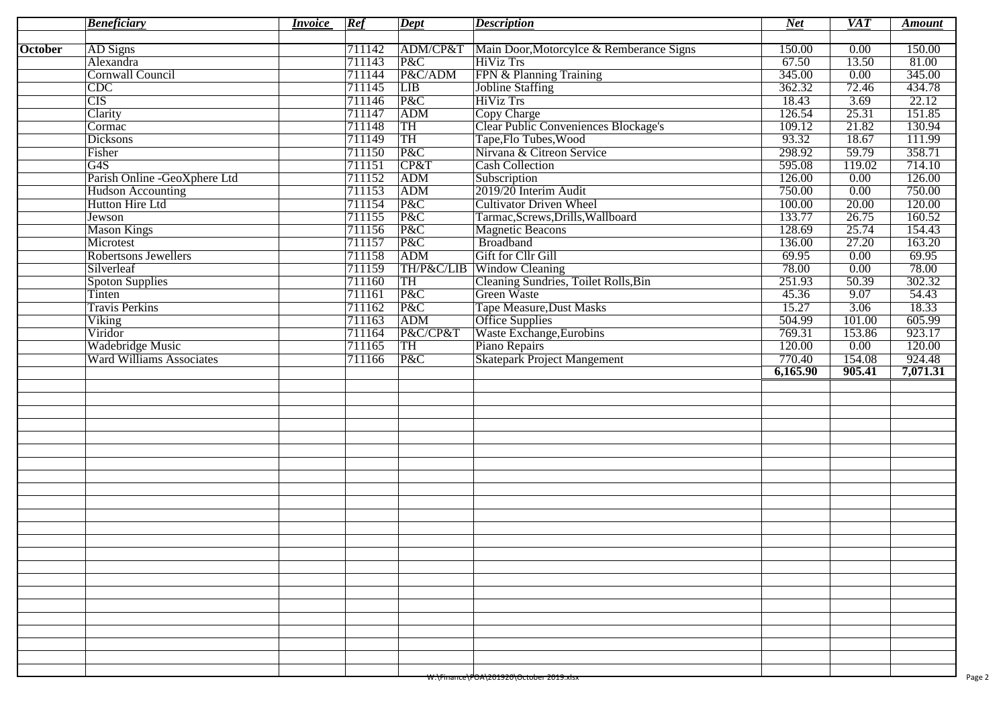|                | <b>Beneficiary</b>              | <i>Invoice</i> | Ref    | <b>Dept</b> | <b>Description</b>                                  | $Net$    | <b>VAT</b> | <b>Amount</b> |
|----------------|---------------------------------|----------------|--------|-------------|-----------------------------------------------------|----------|------------|---------------|
| <b>October</b> | AD Signs                        |                | 711142 |             | ADM/CP&T   Main Door, Motorcylce & Remberance Signs | 150.00   | 0.00       | 150.00        |
|                | Alexandra                       |                | 711143 | P&C         | <b>HiViz Trs</b>                                    | 67.50    | 13.50      | 81.00         |
|                | <b>Cornwall Council</b>         |                | 711144 | P&C/ADM     | FPN & Planning Training                             | 345.00   | 0.00       | 345.00        |
|                | CDC                             |                | 711145 | LIB         | Jobline Staffing                                    | 362.32   | 72.46      | 434.78        |
|                | $\overline{\text{CIS}}$         |                | 711146 | P&C         | <b>HiViz Trs</b>                                    | 18.43    | 3.69       | 22.12         |
|                | Clarity                         |                | 711147 | ADM         | Copy Charge                                         | 126.54   | 25.31      | 151.85        |
|                | Cormac                          |                | 711148 | TH          | Clear Public Conveniences Blockage's                | 109.12   | 21.82      | 130.94        |
|                | <b>Dicksons</b>                 |                | 711149 | TH          | Tape, Flo Tubes, Wood                               | 93.32    | 18.67      | 111.99        |
|                | Fisher                          |                | 711150 | P&C         | Nirvana & Citreon Service                           | 298.92   | 59.79      | 358.71        |
|                | G4S                             |                | 711151 | CP&T        | <b>Cash Collection</b>                              | 595.08   | 119.02     | 714.10        |
|                | Parish Online -GeoXphere Ltd    |                | 711152 | ADM         | Subscription                                        | 126.00   | 0.00       | 126.00        |
|                | <b>Hudson Accounting</b>        |                | 711153 | ADM         | 2019/20 Interim Audit                               | 750.00   | 0.00       | 750.00        |
|                | Hutton Hire Ltd                 |                | 711154 | P&C         | <b>Cultivator Driven Wheel</b>                      | 100.00   | 20.00      | 120.00        |
|                | Jewson                          |                | 711155 | P&C         | Tarmac, Screws, Drills, Wallboard                   | 133.77   | 26.75      | 160.52        |
|                | <b>Mason Kings</b>              |                | 711156 | P&C         |                                                     | 128.69   | 25.74      | 154.43        |
|                |                                 |                |        |             | Magnetic Beacons<br>Broadband                       |          |            |               |
|                | Microtest                       |                | 711157 | P&C         |                                                     | 136.00   | 27.20      | 163.20        |
|                | <b>Robertsons Jewellers</b>     |                | 711158 | ADM         | Gift for Cllr Gill                                  | 69.95    | 0.00       | 69.95         |
|                | Silverleaf                      |                | 711159 |             | TH/P&C/LIB Window Cleaning                          | 78.00    | 0.00       | 78.00         |
|                | <b>Spoton Supplies</b>          |                | 711160 | TH          | Cleaning Sundries, Toilet Rolls, Bin                | 251.93   | 50.39      | 302.32        |
|                | Tinten                          |                | 711161 | P&C         | Green Waste                                         | 45.36    | 9.07       | 54.43         |
|                | <b>Travis Perkins</b>           |                | 711162 | P&C         | <b>Tape Measure, Dust Masks</b>                     | 15.27    | 3.06       | 18.33         |
|                | Viking                          |                | 711163 | ADM         | Office Supplies                                     | 504.99   | 101.00     | 605.99        |
|                | Viridor                         |                | 711164 | P&C/CP&T    | <b>Waste Exchange, Eurobins</b>                     | 769.31   | 153.86     | 923.17        |
|                | <b>Wadebridge Music</b>         |                | 711165 | TH          | Piano Repairs                                       | 120.00   | 0.00       | 120.00        |
|                | <b>Ward Williams Associates</b> |                | 711166 | P&C         | <b>Skatepark Project Mangement</b>                  | 770.40   | 154.08     | 924.48        |
|                |                                 |                |        |             |                                                     | 6,165.90 | 905.41     | 7,071.31      |
|                |                                 |                |        |             |                                                     |          |            |               |
|                |                                 |                |        |             |                                                     |          |            |               |
|                |                                 |                |        |             |                                                     |          |            |               |
|                |                                 |                |        |             |                                                     |          |            |               |
|                |                                 |                |        |             |                                                     |          |            |               |
|                |                                 |                |        |             |                                                     |          |            |               |
|                |                                 |                |        |             |                                                     |          |            |               |
|                |                                 |                |        |             |                                                     |          |            |               |
|                |                                 |                |        |             |                                                     |          |            |               |
|                |                                 |                |        |             |                                                     |          |            |               |
|                |                                 |                |        |             |                                                     |          |            |               |
|                |                                 |                |        |             |                                                     |          |            |               |
|                |                                 |                |        |             |                                                     |          |            |               |
|                |                                 |                |        |             |                                                     |          |            |               |
|                |                                 |                |        |             |                                                     |          |            |               |
|                |                                 |                |        |             |                                                     |          |            |               |
|                |                                 |                |        |             |                                                     |          |            |               |
|                |                                 |                |        |             |                                                     |          |            |               |
|                |                                 |                |        |             |                                                     |          |            |               |
|                |                                 |                |        |             |                                                     |          |            |               |
|                |                                 |                |        |             |                                                     |          |            |               |
|                |                                 |                |        |             |                                                     |          |            |               |
|                |                                 |                |        |             |                                                     |          |            |               |